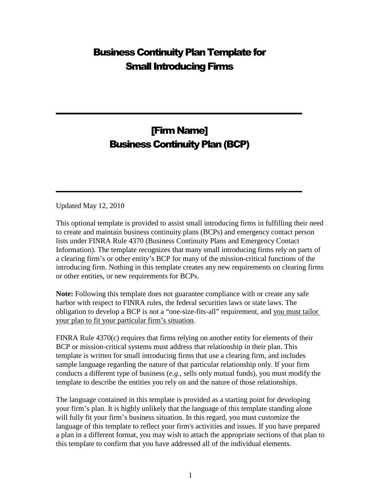# Business Continuity Plan Template for Small Introducing Firms

# [Firm Name] Business Continuity Plan (BCP)

Updated May 12, 2010

This optional template is provided to assist small introducing firms in fulfilling their need to create and maintain business continuity plans (BCPs) and emergency contact person lists under FINRA Rule 4370 (Business Continuity Plans and Emergency Contact Information). The template recognizes that many small introducing firms rely on parts of a clearing firm's or other entity's BCP for many of the mission-critical functions of the introducing firm. Nothing in this template creates any new requirements on clearing firms or other entities, or new requirements for BCPs.

**Note:** Following this template does not guarantee compliance with or create any safe harbor with respect to FINRA rules, the federal securities laws or state laws. The obligation to develop a BCP is not a "one-size-fits-all" requirement, and you must tailor your plan to fit your particular firm's situation.

FINRA Rule 4370(c) requires that firms relying on another entity for elements of their BCP or mission-critical systems must address that relationship in their plan. This template is written for small introducing firms that use a clearing firm, and includes sample language regarding the nature of that particular relationship only. If your firm conducts a different type of business (*e.g*., sells only mutual funds), you must modify the template to describe the entities you rely on and the nature of those relationships.

The language contained in this template is provided as a starting point for developing your firm's plan. It is highly unlikely that the language of this template standing alone will fully fit your firm's business situation. In this regard, you must customize the language of this template to reflect your firm's activities and issues. If you have prepared a plan in a different format, you may wish to attach the appropriate sections of that plan to this template to confirm that you have addressed all of the individual elements.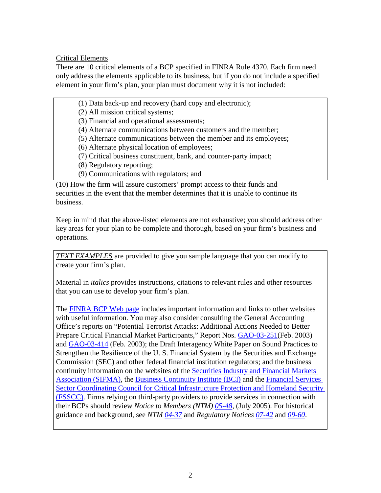Critical Elements

There are 10 critical elements of a BCP specified in FINRA Rule 4370. Each firm need only address the elements applicable to its business, but if you do not include a specified element in your firm's plan, your plan must document why it is not included:

(1) Data back-up and recovery (hard copy and electronic);

(2) All mission critical systems;

(3) Financial and operational assessments;

(4) Alternate communications between customers and the member;

(5) Alternate communications between the member and its employees;

(6) Alternate physical location of employees;

(7) Critical business constituent, bank, and counter-party impact;

- (8) Regulatory reporting;
- (9) Communications with regulators; and

(10) How the firm will assure customers' prompt access to their funds and securities in the event that the member determines that it is unable to continue its business.

Keep in mind that the above-listed elements are not exhaustive; you should address other key areas for your plan to be complete and thorough, based on your firm's business and operations.

*TEXT EXAMPLE*S are provided to give you sample language that you can modify to create your firm's plan.

Material in *italics* provides instructions, citations to relevant rules and other resources that you can use to develop your firm's plan.

The FINRA BCP Web page includes important information and links to other websites with useful information. You may also consider consulting the General Accounting Office's reports on "Potential Terrorist Attacks: Additional Actions Needed to Better Prepare Critical Financial Market Participants," Report Nos. GAO-03-251 (Feb. 2003) and GAO-03-414 (Feb. 2003); the Draft Interagency White Paper on Sound Practices to Strengthen the Resilience of the U. S. Financial System by the Securities and Exchange Commission (SEC) and other federal financial institution regulators; and the business continuity information on the websites of the Securities Industry and Financial Markets Association (SIFMA), the Business Continuity Institute (BCI) and the Financial Services Sector Coordinating Council for Critical Infrastructure Protection and Homeland Security (FSSCC). Firms relying on third-party providers to provide services in connection with their BCPs should review *Notice to Members (NTM) 05-48*, (July 2005). For historical guidance and background, see *NTM 04-37* and *Regulatory Notices 07-42* and *09-60*.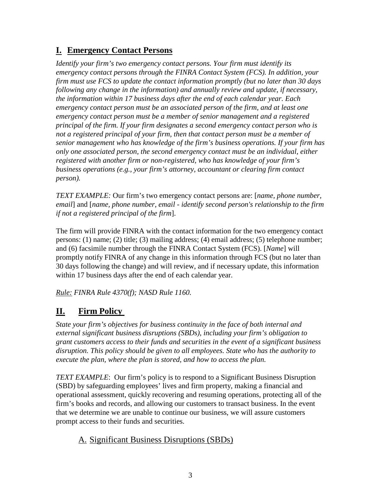# **I. Emergency Contact Persons**

*Identify your firm's two emergency contact persons. Your firm must identify its emergency contact persons through the FINRA Contact System (FCS). In addition, your firm must use FCS to update the contact information promptly (but no later than 30 days following any change in the information) and annually review and update, if necessary, the information within 17 business days after the end of each calendar year. Each emergency contact person must be an associated person of the firm, and at least one emergency contact person must be a member of senior management and a registered principal of the firm. If your firm designates a second emergency contact person who is not a registered principal of your firm, then that contact person must be a member of senior management who has knowledge of the firm's business operations. If your firm has only one associated person, the second emergency contact must be an individual, either registered with another firm or non-registered, who has knowledge of your firm's business operations (e.g., your firm's attorney, accountant or clearing firm contact person).* 

*TEXT EXAMPLE:* Our firm's two emergency contact persons are: [*name, phone number, email*] and [*name, phone number, email - identify second person's relationship to the firm if not a registered principal of the firm*].

The firm will provide FINRA with the contact information for the two emergency contact persons: (1) name; (2) title; (3) mailing address; (4) email address; (5) telephone number; and (6) facsimile number through the FINRA Contact System (FCS). [*Name*] will promptly notify FINRA of any change in this information through FCS (but no later than 30 days following the change) and will review, and if necessary update, this information within 17 business days after the end of each calendar year.

*Rule: FINRA Rule 4370(f); NASD Rule 1160.*

# **II. Firm Policy**

*State your firm's objectives for business continuity in the face of both internal and external significant business disruptions (SBDs), including your firm's obligation to grant customers access to their funds and securities in the event of a significant business disruption. This policy should be given to all employees. State who has the authority to execute the plan, where the plan is stored, and how to access the plan.*

*TEXT EXAMPLE*: Our firm's policy is to respond to a Significant Business Disruption (SBD) by safeguarding employees' lives and firm property, making a financial and operational assessment, quickly recovering and resuming operations, protecting all of the firm's books and records, and allowing our customers to transact business. In the event that we determine we are unable to continue our business, we will assure customers prompt access to their funds and securities.

# A. Significant Business Disruptions (SBDs)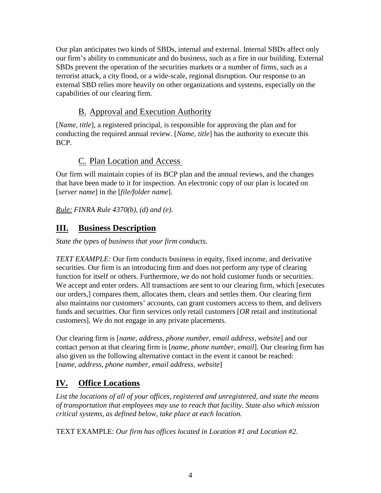Our plan anticipates two kinds of SBDs, internal and external. Internal SBDs affect only our firm's ability to communicate and do business, such as a fire in our building. External SBDs prevent the operation of the securities markets or a number of firms, such as a terrorist attack, a city flood, or a wide-scale, regional disruption. Our response to an external SBD relies more heavily on other organizations and systems, especially on the capabilities of our clearing firm.

# B. Approval and Execution Authority

[*Name, title*], a registered principal, is responsible for approving the plan and for conducting the required annual review. [*Name, title*] has the authority to execute this BCP.

# C. Plan Location and Access

Our firm will maintain copies of its BCP plan and the annual reviews, and the changes that have been made to it for inspection. An electronic copy of our plan is located on [*server name*] in the [*file/folder name*].

*Rule: FINRA Rule 4370(b), (d) and (e).*

# **III. Business Description**

*State the types of business that your firm conducts.* 

*TEXT EXAMPLE:* Our firm conducts business in equity, fixed income, and derivative securities. Our firm is an introducing firm and does not perform any type of clearing function for itself or others. Furthermore, we do not hold customer funds or securities. We accept and enter orders. All transactions are sent to our clearing firm, which [executes our orders,] compares them, allocates them, clears and settles them. Our clearing firm also maintains our customers' accounts, can grant customers access to them, and delivers funds and securities. Our firm services only retail customers [*OR* retail and institutional customers]. We do not engage in any private placements.

Our clearing firm is [*name, address, phone number, email address, website*] and our contact person at that clearing firm is [*name, phone number, email*]. Our clearing firm has also given us the following alternative contact in the event it cannot be reached: [*name, address, phone number, email address, website*]

# **IV. Office Locations**

*List the locations of all of your offices, registered and unregistered, and state the means of transportation that employees may use to reach that facility. State also which mission critical systems, as defined below, take place at each location.*

TEXT EXAMPLE: *Our firm has offices located in Location #1 and Location #2.*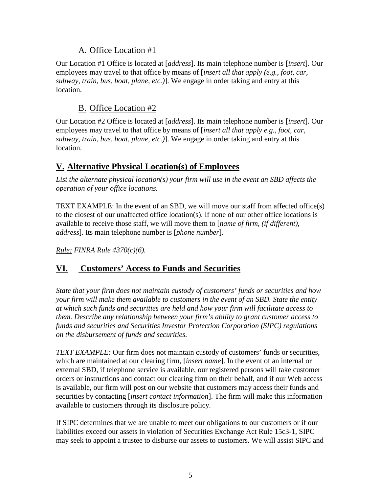### A. Office Location #1

Our Location #1 Office is located at [*address*]. Its main telephone number is [*insert*]. Our employees may travel to that office by means of [*insert all that apply (e.g., foot, car, subway, train, bus, boat, plane, etc.)*]. We engage in order taking and entry at this location.

## B. Office Location #2

Our Location #2 Office is located at [*address*]. Its main telephone number is [*insert*]. Our employees may travel to that office by means of [*insert all that apply e.g., foot, car, subway, train, bus, boat, plane, etc.)*]. We engage in order taking and entry at this location.

# **V. Alternative Physical Location(s) of Employees**

*List the alternate physical location(s) your firm will use in the event an SBD affects the operation of your office locations.* 

TEXT EXAMPLE: In the event of an SBD, we will move our staff from affected office(s) to the closest of our unaffected office location(s). If none of our other office locations is available to receive those staff, we will move them to [*name of firm, (if different), address*]. Its main telephone number is [*phone number*].

*Rule: FINRA Rule 4370(c)(6).*

# **VI. Customers' Access to Funds and Securities**

*State that your firm does not maintain custody of customers' funds or securities and how your firm will make them available to customers in the event of an SBD. State the entity at which such funds and securities are held and how your firm will facilitate access to them. Describe any relationship between your firm's ability to grant customer access to funds and securities and Securities Investor Protection Corporation (SIPC) regulations on the disbursement of funds and securities.* 

*TEXT EXAMPLE:* Our firm does not maintain custody of customers' funds or securities, which are maintained at our clearing firm, [*insert name*]. In the event of an internal or external SBD, if telephone service is available, our registered persons will take customer orders or instructions and contact our clearing firm on their behalf, and if our Web access is available, our firm will post on our website that customers may access their funds and securities by contacting [*insert contact information*]. The firm will make this information available to customers through its disclosure policy.

If SIPC determines that we are unable to meet our obligations to our customers or if our liabilities exceed our assets in violation of Securities Exchange Act Rule 15c3-1, SIPC may seek to appoint a trustee to disburse our assets to customers. We will assist SIPC and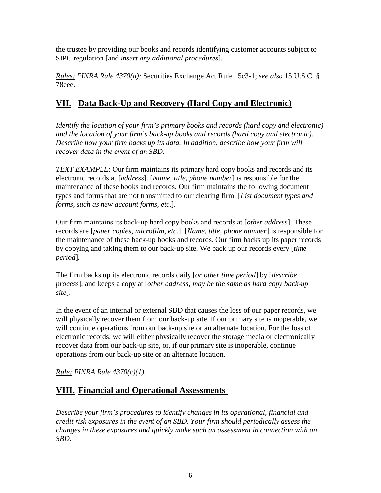the trustee by providing our books and records identifying customer accounts subject to SIPC regulation [and *insert any additional procedures*].

*Rules: FINRA Rule 4370(a);* Securities Exchange Act Rule 15c3-1; *see also* 15 U.S.C. § 78eee.

# **VII. Data Back-Up and Recovery (Hard Copy and Electronic)**

*Identify the location of your firm's primary books and records (hard copy and electronic) and the location of your firm's back-up books and records (hard copy and electronic). Describe how your firm backs up its data. In addition, describe how your firm will recover data in the event of an SBD.* 

*TEXT EXAMPLE*: Our firm maintains its primary hard copy books and records and its electronic records at [*address*]. [*Name, title, phone number*] is responsible for the maintenance of these books and records. Our firm maintains the following document types and forms that are not transmitted to our clearing firm: [*List document types and forms, such as new account forms, etc*.].

Our firm maintains its back-up hard copy books and records at [*other address*]. These records are [*paper copies, microfilm, etc.*]. [*Name, title, phone number*] is responsible for the maintenance of these back-up books and records. Our firm backs up its paper records by copying and taking them to our back-up site. We back up our records every [*time period*].

The firm backs up its electronic records daily [*or other time period*] by [*describe process*], and keeps a copy at [*other address; may be the same as hard copy back-up site*].

In the event of an internal or external SBD that causes the loss of our paper records, we will physically recover them from our back-up site. If our primary site is inoperable, we will continue operations from our back-up site or an alternate location. For the loss of electronic records, we will either physically recover the storage media or electronically recover data from our back-up site, or, if our primary site is inoperable, continue operations from our back-up site or an alternate location.

*Rule: FINRA Rule 4370(c)(1).*

# **VIII. Financial and Operational Assessments**

*Describe your firm's procedures to identify changes in its operational, financial and credit risk exposures in the event of an SBD. Your firm should periodically assess the changes in these exposures and quickly make such an assessment in connection with an SBD.*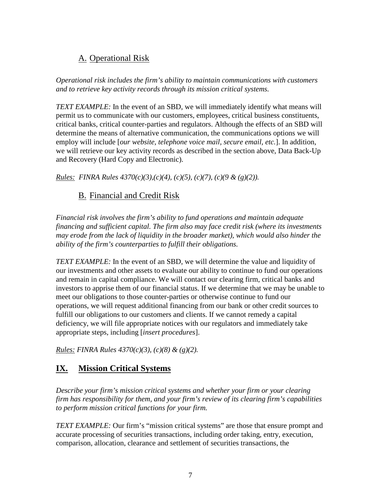# A. Operational Risk

*Operational risk includes the firm's ability to maintain communications with customers and to retrieve key activity records through its mission critical systems.* 

*TEXT EXAMPLE:* In the event of an SBD, we will immediately identify what means will permit us to communicate with our customers, employees, critical business constituents, critical banks, critical counter-parties and regulators. Although the effects of an SBD will determine the means of alternative communication, the communications options we will employ will include [*our website, telephone voice mail, secure email, etc.*]. In addition, we will retrieve our key activity records as described in the section above, Data Back-Up and Recovery (Hard Copy and Electronic).

*Rules: FINRA Rules 4370(c)(3),(c)(4), (c)(5), (c)(7), (c)(9 & (g)(2)).*

## B. Financial and Credit Risk

*Financial risk involves the firm's ability to fund operations and maintain adequate financing and sufficient capital. The firm also may face credit risk (where its investments may erode from the lack of liquidity in the broader market), which would also hinder the ability of the firm's counterparties to fulfill their obligations.* 

*TEXT EXAMPLE:* In the event of an SBD, we will determine the value and liquidity of our investments and other assets to evaluate our ability to continue to fund our operations and remain in capital compliance. We will contact our clearing firm, critical banks and investors to apprise them of our financial status. If we determine that we may be unable to meet our obligations to those counter-parties or otherwise continue to fund our operations, we will request additional financing from our bank or other credit sources to fulfill our obligations to our customers and clients. If we cannot remedy a capital deficiency, we will file appropriate notices with our regulators and immediately take appropriate steps, including [*insert procedures*].

*Rules: FINRA Rules 4370(c)(3), (c)(8) & (g)(2).*

## **IX. Mission Critical Systems**

*Describe your firm's mission critical systems and whether your firm or your clearing firm has responsibility for them, and your firm's review of its clearing firm's capabilities to perform mission critical functions for your firm.*

*TEXT EXAMPLE:* Our firm's "mission critical systems" are those that ensure prompt and accurate processing of securities transactions, including order taking, entry, execution, comparison, allocation, clearance and settlement of securities transactions, the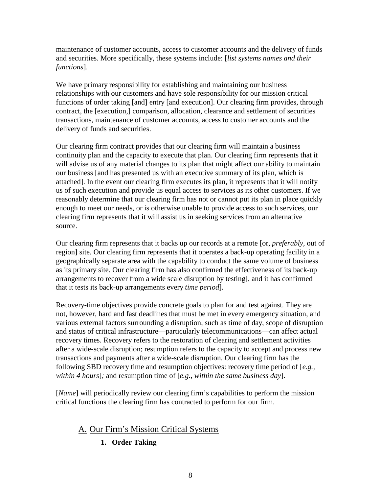maintenance of customer accounts, access to customer accounts and the delivery of funds and securities. More specifically, these systems include: [*list systems names and their functions*].

We have primary responsibility for establishing and maintaining our business relationships with our customers and have sole responsibility for our mission critical functions of order taking [and] entry [and execution]. Our clearing firm provides, through contract, the [execution,] comparison, allocation, clearance and settlement of securities transactions, maintenance of customer accounts, access to customer accounts and the delivery of funds and securities.

Our clearing firm contract provides that our clearing firm will maintain a business continuity plan and the capacity to execute that plan. Our clearing firm represents that it will advise us of any material changes to its plan that might affect our ability to maintain our business [and has presented us with an executive summary of its plan, which is attached]. In the event our clearing firm executes its plan, it represents that it will notify us of such execution and provide us equal access to services as its other customers. If we reasonably determine that our clearing firm has not or cannot put its plan in place quickly enough to meet our needs, or is otherwise unable to provide access to such services, our clearing firm represents that it will assist us in seeking services from an alternative source.

Our clearing firm represents that it backs up our records at a remote [or, *preferably,* out of region] site. Our clearing firm represents that it operates a back-up operating facility in a geographically separate area with the capability to conduct the same volume of business as its primary site. Our clearing firm has also confirmed the effectiveness of its back-up arrangements to recover from a wide scale disruption by testing[, and it has confirmed that it tests its back-up arrangements every *time period*]*.* 

Recovery-time objectives provide concrete goals to plan for and test against. They are not, however, hard and fast deadlines that must be met in every emergency situation, and various external factors surrounding a disruption, such as time of day, scope of disruption and status of critical infrastructure—particularly telecommunications—can affect actual recovery times. Recovery refers to the restoration of clearing and settlement activities after a wide-scale disruption; resumption refers to the capacity to accept and process new transactions and payments after a wide-scale disruption. Our clearing firm has the following SBD recovery time and resumption objectives: recovery time period of [*e.g., within 4 hours*]*;* and resumption time of [*e.g., within the same business day*].

[*Name*] will periodically review our clearing firm's capabilities to perform the mission critical functions the clearing firm has contracted to perform for our firm.

## A. Our Firm's Mission Critical Systems

**1. Order Taking**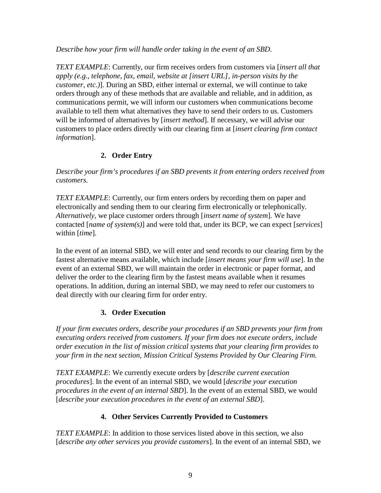*Describe how your firm will handle order taking in the event of an SBD.* 

*TEXT EXAMPLE*: Currently, our firm receives orders from customers via [*insert all that apply (e.g., telephone, fax, email, website at [insert URL], in-person visits by the customer, etc.)*]. During an SBD, either internal or external, we will continue to take orders through any of these methods that are available and reliable, and in addition, as communications permit, we will inform our customers when communications become available to tell them what alternatives they have to send their orders to us. Customers will be informed of alternatives by [*insert method*]. If necessary, we will advise our customers to place orders directly with our clearing firm at [*insert clearing firm contact information*].

#### **2. Order Entry**

*Describe your firm's procedures if an SBD prevents it from entering orders received from customers.* 

*TEXT EXAMPLE*: Currently, our firm enters orders by recording them on paper and electronically and sending them to our clearing firm electronically or telephonically. *Alternatively,* we place customer orders through [*insert name of system*]*.* We have contacted [*name of system(s)*] and were told that, under its BCP, we can expect [*services*] within [*time*]*.*

In the event of an internal SBD, we will enter and send records to our clearing firm by the fastest alternative means available, which include [*insert means your firm will use*]. In the event of an external SBD, we will maintain the order in electronic or paper format, and deliver the order to the clearing firm by the fastest means available when it resumes operations. In addition, during an internal SBD, we may need to refer our customers to deal directly with our clearing firm for order entry.

#### **3. Order Execution**

*If your firm executes orders, describe your procedures if an SBD prevents your firm from executing orders received from customers. If your firm does not execute orders, include order execution in the list of mission critical systems that your clearing firm provides to your firm in the next section, Mission Critical Systems Provided by Our Clearing Firm.* 

*TEXT EXAMPLE*: We currently execute orders by [*describe current execution procedures*]. In the event of an internal SBD, we would [*describe your execution procedures in the event of an internal SBD*]. In the event of an external SBD, we would [*describe your execution procedures in the event of an external SBD*].

#### **4. Other Services Currently Provided to Customers**

*TEXT EXAMPLE*: In addition to those services listed above in this section, we also [*describe any other services you provide customers*]. In the event of an internal SBD, we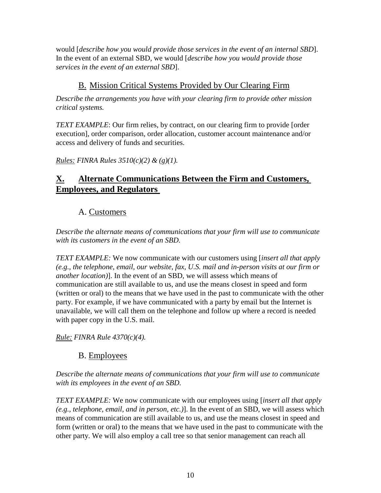would [*describe how you would provide those services in the event of an internal SBD*]. In the event of an external SBD, we would [*describe how you would provide those services in the event of an external SBD*].

# B. Mission Critical Systems Provided by Our Clearing Firm

*Describe the arrangements you have with your clearing firm to provide other mission critical systems.*

*TEXT EXAMPLE*: Our firm relies, by contract, on our clearing firm to provide [order execution], order comparison, order allocation, customer account maintenance and/or access and delivery of funds and securities.

*Rules: FINRA Rules 3510(c)(2) & (g)(1).*

# **X. Alternate Communications Between the Firm and Customers, Employees, and Regulators**

# A. Customers

*Describe the alternate means of communications that your firm will use to communicate with its customers in the event of an SBD.* 

*TEXT EXAMPLE:* We now communicate with our customers using [*insert all that apply (e.g., the telephone, email, our website, fax, U.S. mail and in-person visits at our firm or another location)*]. In the event of an SBD, we will assess which means of communication are still available to us, and use the means closest in speed and form (written or oral) to the means that we have used in the past to communicate with the other party. For example, if we have communicated with a party by email but the Internet is unavailable, we will call them on the telephone and follow up where a record is needed with paper copy in the U.S. mail.

*Rule: FINRA Rule 4370(c)(4).*

## B. Employees

*Describe the alternate means of communications that your firm will use to communicate with its employees in the event of an SBD.*

*TEXT EXAMPLE:* We now communicate with our employees using [*insert all that apply (e.g., telephone, email, and in person, etc.)*]. In the event of an SBD, we will assess which means of communication are still available to us, and use the means closest in speed and form (written or oral) to the means that we have used in the past to communicate with the other party. We will also employ a call tree so that senior management can reach all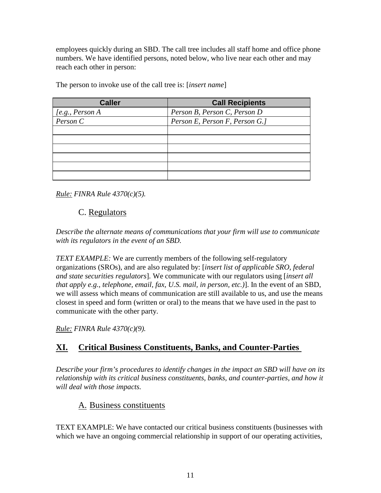employees quickly during an SBD. The call tree includes all staff home and office phone numbers. We have identified persons, noted below, who live near each other and may reach each other in person:

| <b>Caller</b>        | <b>Call Recipients</b>         |
|----------------------|--------------------------------|
| [ $e.g., Person A$ ] | Person B, Person C, Person D   |
| Person C             | Person E, Person F, Person G.] |
|                      |                                |
|                      |                                |
|                      |                                |
|                      |                                |
|                      |                                |
|                      |                                |

The person to invoke use of the call tree is: [*insert name*]

*Rule: FINRA Rule 4370(c)(5).*

## C. Regulators

*Describe the alternate means of communications that your firm will use to communicate with its regulators in the event of an SBD.* 

*TEXT EXAMPLE:* We are currently members of the following self-regulatory organizations (SROs), and are also regulated by: [*insert list of applicable SRO, federal and state securities regulators*]*.* We communicate with our regulators using [*insert all that apply e.g., telephone, email, fax, U.S. mail, in person, etc.)*]. In the event of an SBD, we will assess which means of communication are still available to us, and use the means closest in speed and form (written or oral) to the means that we have used in the past to communicate with the other party.

*Rule: FINRA Rule 4370(c)(9).*

# **XI. Critical Business Constituents, Banks, and Counter-Parties**

*Describe your firm's procedures to identify changes in the impact an SBD will have on its relationship with its critical business constituents, banks, and counter-parties, and how it will deal with those impacts.* 

## A. Business constituents

TEXT EXAMPLE: We have contacted our critical business constituents (businesses with which we have an ongoing commercial relationship in support of our operating activities,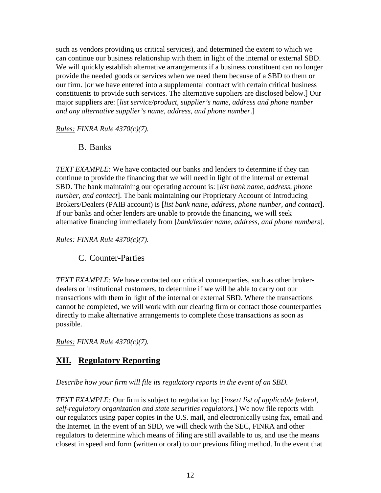such as vendors providing us critical services), and determined the extent to which we can continue our business relationship with them in light of the internal or external SBD. We will quickly establish alternative arrangements if a business constituent can no longer provide the needed goods or services when we need them because of a SBD to them or our firm. [*or* we have entered into a supplemental contract with certain critical business constituents to provide such services. The alternative suppliers are disclosed below.] Our major suppliers are: [*list service/product, supplier's name, address and phone number and any alternative supplier's name, address, and phone number*.]

*Rules: FINRA Rule 4370(c)(7).*

## B. Banks

*TEXT EXAMPLE:* We have contacted our banks and lenders to determine if they can continue to provide the financing that we will need in light of the internal or external SBD. The bank maintaining our operating account is: [*list bank name, address, phone number, and contact*]. The bank maintaining our Proprietary Account of Introducing Brokers/Dealers (PAIB account) is [*list bank name, address, phone number, and contact*]. If our banks and other lenders are unable to provide the financing, we will seek alternative financing immediately from [*bank/lender name, address, and phone numbers*].

*Rules: FINRA Rule 4370(c)(7).*

## C. Counter-Parties

*TEXT EXAMPLE:* We have contacted our critical counterparties, such as other brokerdealers or institutional customers, to determine if we will be able to carry out our transactions with them in light of the internal or external SBD. Where the transactions cannot be completed, we will work with our clearing firm or contact those counterparties directly to make alternative arrangements to complete those transactions as soon as possible.

*Rules: FINRA Rule 4370(c)(7).*

# **XII. Regulatory Reporting**

*Describe how your firm will file its regulatory reports in the event of an SBD.* 

*TEXT EXAMPLE:* Our firm is subject to regulation by: [*insert list of applicable federal, self-regulatory organization and state securities regulators.*] We now file reports with our regulators using paper copies in the U.S. mail, and electronically using fax, email and the Internet. In the event of an SBD, we will check with the SEC, FINRA and other regulators to determine which means of filing are still available to us, and use the means closest in speed and form (written or oral) to our previous filing method. In the event that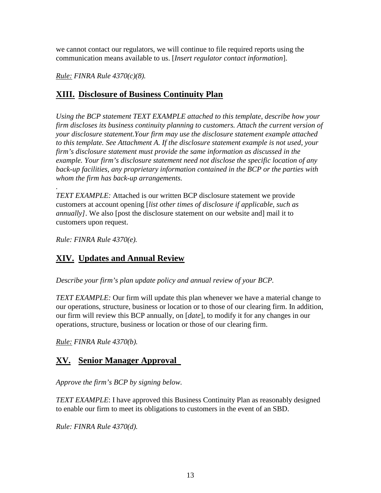we cannot contact our regulators, we will continue to file required reports using the communication means available to us. [*Insert regulator contact information*].

*Rule: FINRA Rule 4370(c)(8).*

### **XIII. Disclosure of Business Continuity Plan**

*Using the BCP statement TEXT EXAMPLE attached to this template, describe how your firm discloses its business continuity planning to customers. Attach the current version of your disclosure statement.Your firm may use the disclosure statement example attached to this template. See Attachment A. If the disclosure statement example is not used, your firm's disclosure statement must provide the same information as discussed in the example. Your firm's disclosure statement need not disclose the specific location of any back-up facilities, any proprietary information contained in the BCP or the parties with whom the firm has back-up arrangements.*

*. TEXT EXAMPLE:* Attached is our written BCP disclosure statement we provide customers at account opening [*list other times of disclosure if applicable, such as annually]*. We also [post the disclosure statement on our website and] mail it to customers upon request.

*Rule: FINRA Rule 4370(e).*

## **XIV. Updates and Annual Review**

*Describe your firm's plan update policy and annual review of your BCP.*

*TEXT EXAMPLE:* Our firm will update this plan whenever we have a material change to our operations, structure, business or location or to those of our clearing firm. In addition, our firm will review this BCP annually, on [*date*], to modify it for any changes in our operations, structure, business or location or those of our clearing firm.

*Rule: FINRA Rule 4370(b).*

## **XV. Senior Manager Approval**

*Approve the firm's BCP by signing below.* 

*TEXT EXAMPLE*: I have approved this Business Continuity Plan as reasonably designed to enable our firm to meet its obligations to customers in the event of an SBD.

*Rule: FINRA Rule 4370(d).*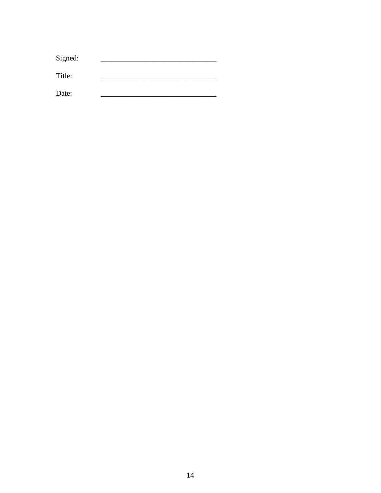| Signed: |  |
|---------|--|
| Title:  |  |
| Date:   |  |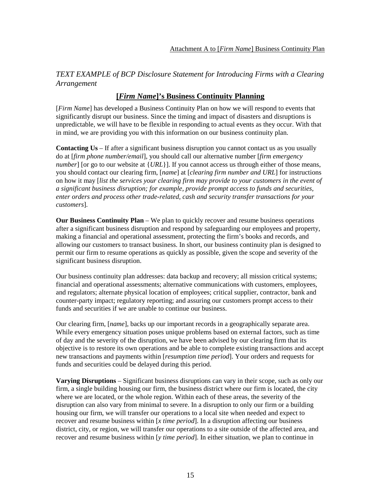#### *TEXT EXAMPLE of BCP Disclosure Statement for Introducing Firms with a Clearing Arrangement*

#### **[***Firm Name***]'s Business Continuity Planning**

[*Firm Name*] has developed a Business Continuity Plan on how we will respond to events that significantly disrupt our business. Since the timing and impact of disasters and disruptions is unpredictable, we will have to be flexible in responding to actual events as they occur. With that in mind, we are providing you with this information on our business continuity plan.

**Contacting Us** – If after a significant business disruption you cannot contact us as you usually do at [*firm phone number/email*], you should call our alternative number [*firm emergency number*] [or go to our website at {*URL*}]. If you cannot access us through either of those means, you should contact our clearing firm, [*name*] at [*clearing firm number and URL*] for instructions on how it may [*list the services your clearing firm may provide to your customers in the event of a significant business disruption; for example, provide prompt access to funds and securities, enter orders and process other trade-related, cash and security transfer transactions for your customers*]*.* 

**Our Business Continuity Plan** – We plan to quickly recover and resume business operations after a significant business disruption and respond by safeguarding our employees and property, making a financial and operational assessment, protecting the firm's books and records, and allowing our customers to transact business. In short, our business continuity plan is designed to permit our firm to resume operations as quickly as possible, given the scope and severity of the significant business disruption.

Our business continuity plan addresses: data backup and recovery; all mission critical systems; financial and operational assessments; alternative communications with customers, employees, and regulators; alternate physical location of employees; critical supplier, contractor, bank and counter-party impact; regulatory reporting; and assuring our customers prompt access to their funds and securities if we are unable to continue our business.

Our clearing firm, [*name*], backs up our important records in a geographically separate area. While every emergency situation poses unique problems based on external factors, such as time of day and the severity of the disruption, we have been advised by our clearing firm that its objective is to restore its own operations and be able to complete existing transactions and accept new transactions and payments within [*resumption time period*]. Your orders and requests for funds and securities could be delayed during this period.

**Varying Disruptions** – Significant business disruptions can vary in their scope, such as only our firm, a single building housing our firm, the business district where our firm is located, the city where we are located, or the whole region. Within each of these areas, the severity of the disruption can also vary from minimal to severe. In a disruption to only our firm or a building housing our firm, we will transfer our operations to a local site when needed and expect to recover and resume business within [*x time period*]. In a disruption affecting our business district, city, or region, we will transfer our operations to a site outside of the affected area, and recover and resume business within [*y time period*]. In either situation, we plan to continue in